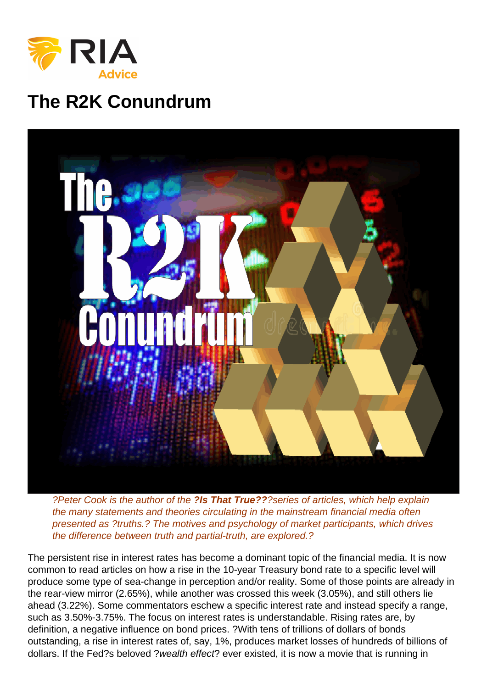## The R2K Conundrum

?Peter Cook is the author of the ?Is That True?? ?series of articles, which help explain the many statements and theories circulating in the mainstream financial media often presented as ?truths.? The motives and psychology of market participants, which drives the difference between truth and partial-truth, are explored.?

The persistent rise in interest rates has become a dominant topic of the financial media. It is now common to read articles on how a rise in the 10-year Treasury bond rate to a specific level will produce some type of sea-change in perception and/or reality. Some of those points are already in the rear-view mirror (2.65%), while another was crossed this week (3.05%), and still others lie ahead (3.22%). Some commentators eschew a specific interest rate and instead specify a range, such as 3.50%-3.75%. The focus on interest rates is understandable. Rising rates are, by definition, a negative influence on bond prices. ?With tens of trillions of dollars of bonds outstanding, a rise in interest rates of, say, 1%, produces market losses of hundreds of billions of dollars. If the Fed?s beloved ?wealth effect? ever existed, it is now a movie that is running in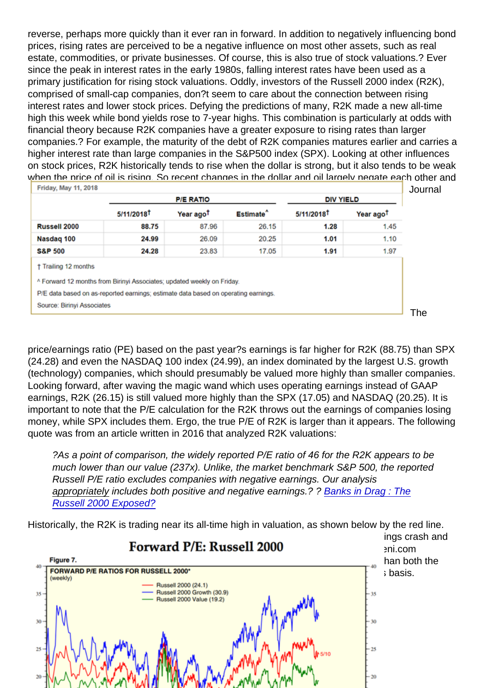reverse, perhaps more quickly than it ever ran in forward. In addition to negatively influencing bond prices, rising rates are perceived to be a negative influence on most other assets, such as real estate, commodities, or private businesses. Of course, this is also true of stock valuations.? Ever since the peak in interest rates in the early 1980s, falling interest rates have been used as a primary justification for rising stock valuations. Oddly, investors of the Russell 2000 index (R2K), comprised of small-cap companies, don?t seem to care about the connection between rising interest rates and lower stock prices. Defying the predictions of many, R2K made a new all-time high this week while bond yields rose to 7-year highs. This combination is particularly at odds with financial theory because R2K companies have a greater exposure to rising rates than larger companies.? For example, the maturity of the debt of R2K companies matures earlier and carries a higher interest rate than large companies in the S&P500 index (SPX). Looking at other influences on stock prices, R2K historically tends to rise when the dollar is strong, but it also tends to be weak when the price of oil is rising. So recent changes in the dollar and oil largely negate each other and [don?t explain the R2K?s strength. Diving further into relative valuations, the Wall Street](https://realinvestmentadvice.com/wp-content/uploads/2018/05/2-forward-pe.png) Journal publishes valuations on a weekly basis, as shown in the table below.

price/earnings ratio (PE) based on the past year?s earnings is far higher for R2K (88.75) than SPX (24.28) and even the NASDAQ 100 index (24.99), an index dominated by the largest U.S. growth (technology) companies, which should presumably be valued more highly than smaller companies. Looking forward, after waving the magic wand which uses operating earnings instead of GAAP earnings, R2K (26.15) is still valued more highly than the SPX (17.05) and NASDAQ (20.25). It is important to note that the P/E calculation for the R2K throws out the earnings of companies losing money, while SPX includes them. Ergo, the true P/E of R2K is larger than it appears. The following quote was from an article written in 2016 that analyzed R2K valuations:

?As a point of comparison, the widely reported P/E ratio of 46 for the R2K appears to be much lower than our value (237x). Unlike, the market benchmark S&P 500, the reported Russell P/E ratio excludes companies with negative earnings. Our analysis appropriately includes both positive and negative earnings.? ? [Banks in Drag : The](https://realinvestmentadvice.com/banks-in-drag-the-russell-2000-exposed/) [Russell 2000 Exposed?](https://realinvestmentadvice.com/banks-in-drag-the-russell-2000-exposed/)

Historically, the R2K is trading near its all-time high in valuation, as shown below by the red line. Since 2003, the R2K traded at a higher valuation only a few times; during the earnings crash and [recession of 2009, briefly during 2015, and again throughout 2017. Although Yarde](https://realinvestmentadvice.com/wp-content/uploads/2018/05/1-forwar-pe.png)ni.com calculates a slightly different P/E for the R2K (24.1) than the WSJ, it is still higher than both the SPX and NASDAQ, and as noted above likely much higher on an apples-to-apples basis.